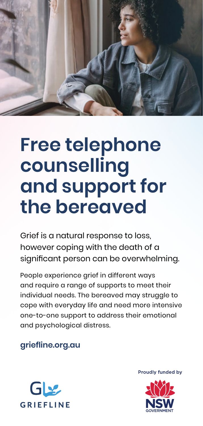

# **Free telephone counselling and support for the bereaved**

Grief is a natural response to loss, however coping with the death of a significant person can be overwhelming.

People experience grief in different ways and require a range of supports to meet their individual needs. The bereaved may struggle to cope with everyday life and need more intensive one-to-one support to address their emotional and psychological distress.

## **griefline.org.au**



**Proudly funded by**